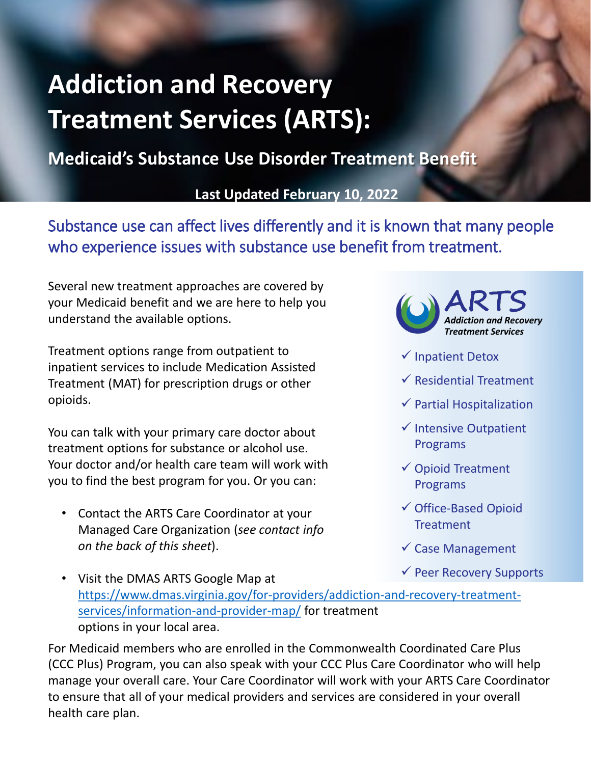## **Addiction and Recovery Treatment Services (ARTS):**

**Medicaid's Substance Use Disorder Treatment Benefit**

**Last Updated February 10, 2022**

Substance use can affect lives differently and it is known that many people who experience issues with substance use benefit from treatment.

Several new treatment approaches are covered by your Medicaid benefit and we are here to help you understand the available options.

Treatment options range from outpatient to inpatient services to include Medication Assisted Treatment (MAT) for prescription drugs or other opioids.

You can talk with your primary care doctor about treatment options for substance or alcohol use. Your doctor and/or health care team will work with you to find the best program for you. Or you can:

• Contact the ARTS Care Coordinator at your Managed Care Organization (*see contact info on the back of this sheet*).



- $\checkmark$  Inpatient Detox
- $\checkmark$  Residential Treatment
- $\checkmark$  Partial Hospitalization
- $\checkmark$  Intensive Outpatient Programs
- Opioid Treatment Programs
- Office-Based Opioid **Treatment**
- $\checkmark$  Case Management
- $\checkmark$  Peer Recovery Supports
- Visit the DMAS ARTS Google Map at [https://www.dmas.virginia.gov/for-providers/addiction-and-recovery-treatment](https://www.dmas.virginia.gov/for-providers/addiction-and-recovery-treatment-services/information-and-provider-map/)services/information-and-provider-map/ for treatment options in your local area.

For Medicaid members who are enrolled in the Commonwealth Coordinated Care Plus (CCC Plus) Program, you can also speak with your CCC Plus Care Coordinator who will help manage your overall care. Your Care Coordinator will work with your ARTS Care Coordinator to ensure that all of your medical providers and services are considered in your overall health care plan.